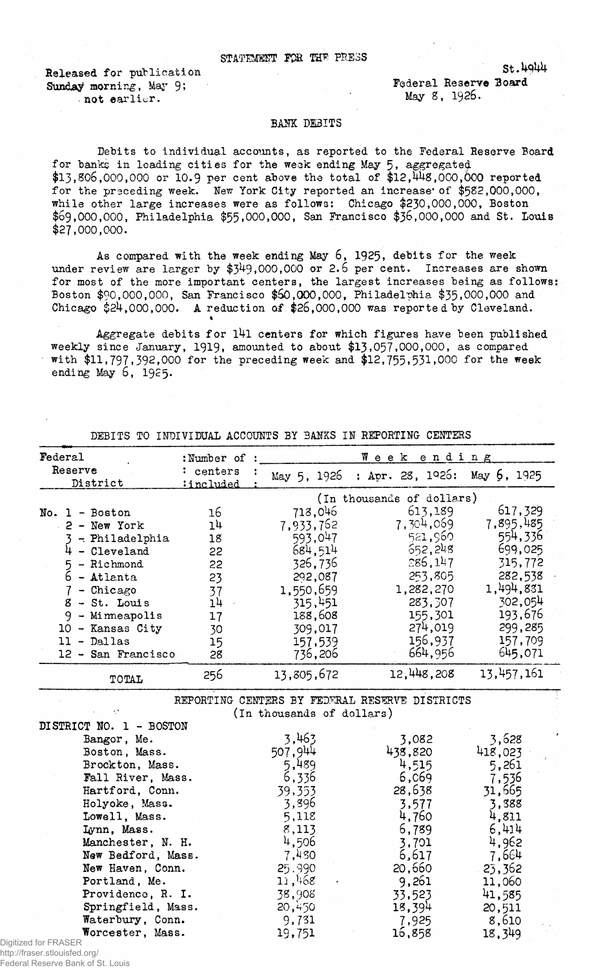## STATEMENT FOR THE PRESS

Released for publieation Sunday morning, May 9; • not earlier.

Federal Reserve Board May 8, 1926.

St.4944

## BANK DEBITS

Debits to individual accounts, as reported to the Federal Reserve Board for banks in leading cities for the weak ending May 5, aggregated  $$13,806,000,000$  or 10.9 per cent above the total of  $$12,448,000,000$  reported for the preceding week. New York City reported an increase of \$582,000,000, while other large increases were as follows: Chicago \$230,000,000, Boston \$69,000,000, Philadelphia \$55,000,000, San Francisco \$36,000,000 and St. Louis \$27,000,000.

As compared with the week ending May  $6, 1925,$  debits for the week under review are larger by  $$349,000,000$  or 2.6 per cent. Increases are shown for most of the more important centers, the largest increases being as follows: Boston \$90,000,000, San Francisco \$60,000,000, Philadelphia \$35,000,000 and Chicago \$24,000,000. A reduction of \$26,000,000 was reported by Cleveland.

Aggregate debits for l4l centers for which figures have been published weekly since January, 1919. amounted to about \$13,057,000,000, as compared with \$11,797,392,000 for the preceding week and \$12, 755, 531,000 for the week ending May 6, 1925.

| Federal                         | :Number of | Week ending               |                                                |            |
|---------------------------------|------------|---------------------------|------------------------------------------------|------------|
| Reserve                         | : centers  | May 5, 1926               | : Apr. 28, $1926$ : May $6$ , $1925$           |            |
| District                        | :included  |                           |                                                |            |
|                                 |            |                           | (In thousands of dollars)                      |            |
| No. $1 - Boston$                | 16         | 718,046                   | 613,189                                        | 617,329    |
| $2 - New York$                  | 14         | 7,933,762                 | 7,304,069                                      | 7,895,485  |
| $3$ - Philadelphia              | 18         | 593,047                   | 521,960                                        | 554,336    |
| $4 - Cleveland$                 | 22         | 684,514                   | 652,248                                        | 699,025    |
| - Richmond                      | 22         | 326,736                   | 286,147                                        | 315,772    |
| $5 -$ Richmond<br>$6 -$ Atlanta | 23         | 292,087                   | 253,805                                        | 282,538    |
| $\overline{7}$<br>- Chicago     | 37         | 1,550,659                 | 1,282,270                                      | 1,494,831  |
| $8 - St.$ Louis                 | 14         | 315,451                   | 283,307                                        | 302,054    |
| $9$ - Minneapolis               | 17         | 188,608                   | 155,301                                        | 193,676    |
| 10 - Kansas City                | 30         | 309,017                   | 274,019                                        | 299,285    |
| 11 - Dallas                     | 15         | 157,539                   | 156,937                                        | 157,709    |
| 12 - San Francisco              | 28         | 736,206                   | 664,956                                        | 645,071    |
| TOTAL                           | 256        | 13,805,672                | 12,448,208                                     | 13,457,161 |
|                                 |            |                           | REPORTING CENTERS BY FEDERAL RESERVE DISTRICTS |            |
|                                 |            | (In thousands of dollars) |                                                |            |
| DISTRICT NO. 1 - BOSTON         |            |                           |                                                |            |
| Bangor, Me.                     |            | 3,463                     | 3,082                                          | 3,628      |
| Boston, Mass.                   |            | 507.944                   | 438.820                                        | 418,023    |
| Brockton, Mass.                 |            | 5,489                     | 4,515                                          | 5,261      |
| Fall River, Mass.               |            | 6,336                     | 6,069                                          | 7,536      |
| Hartford, Conn.                 |            | 39,353                    | 28,638                                         | 31,665     |
| Holyoke, Mass.                  |            | 3,896                     | 3,577                                          | 3,388      |
| Lowell, Mass.                   |            | 5,118                     | 4,760                                          | 4,811      |
| Lynn, Mass.                     |            | 8,113                     | 6,789                                          | 6,414      |
| Manchester, N. H.               |            | 4,506                     | 3,701                                          | 4,962      |
| New Bedford, Mass.              |            | 7,480                     | 6,617                                          | 7,664      |
| New Haven, Conn.                |            | 25.990                    | 20,660                                         | 23,362     |
| Portland, Me.                   |            | 11,468                    | 9,261                                          | 11,060     |
| Providence, R. I.               |            | 38,908                    | 33,523                                         | 41,585     |
| Springfield, Mass.              |            | 20,450                    | 18,394                                         | 20,511     |
| Waterbury, Conn.                |            | 9,731                     | 7,925                                          | 8,610      |
| Worcester, Mass.                |            | 19,751                    | 16,858                                         | 18,349     |

DEBITS TO INDIVIDUAL ACCOUNTS BY BANKS IN REPORTING CENTERS

Digitized for FRASER http://fraser.stlouisfed.org/

Federal Reserve Bank of St. Louis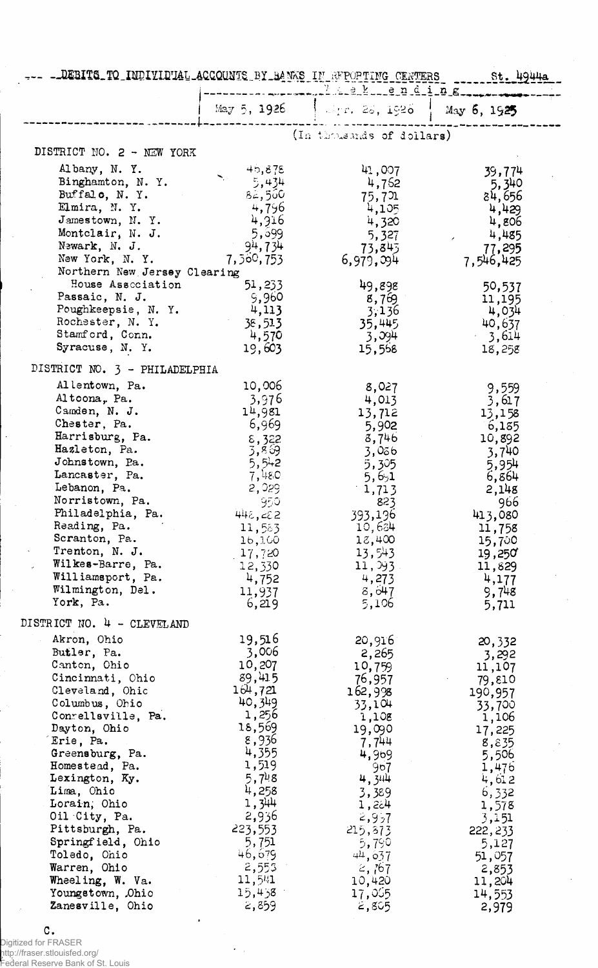- DEBITS TO INDIVIDUAL ACCOUNTS BY BANKS IN RFPORTING CENTERS St. 49444

|                                                                                                                                                                                                                                                                                                                                                                                                  | May 5, 1926                                                                                                                                                                                                    | $\frac{1}{2}$ May 5, 1926 $\frac{1}{2}$ May 5, 1925                                                                                                                                                          |                                                                                                                                                                                                                |
|--------------------------------------------------------------------------------------------------------------------------------------------------------------------------------------------------------------------------------------------------------------------------------------------------------------------------------------------------------------------------------------------------|----------------------------------------------------------------------------------------------------------------------------------------------------------------------------------------------------------------|--------------------------------------------------------------------------------------------------------------------------------------------------------------------------------------------------------------|----------------------------------------------------------------------------------------------------------------------------------------------------------------------------------------------------------------|
|                                                                                                                                                                                                                                                                                                                                                                                                  |                                                                                                                                                                                                                | (In thousands of dollars)                                                                                                                                                                                    |                                                                                                                                                                                                                |
| DISTRICT NO. 2 - NEW YORK                                                                                                                                                                                                                                                                                                                                                                        |                                                                                                                                                                                                                |                                                                                                                                                                                                              |                                                                                                                                                                                                                |
| Albany, N.Y.<br>Binghamton, N.Y.<br>Buffalo, N.Y.<br>Elmira, N.Y.<br>Jamestown, N.Y.<br>Montclair, N. J.<br>Newark, N. J.<br>New York, N.Y.<br>Northern New Jersey Clearing                                                                                                                                                                                                                      | 45,878<br>5,434<br>82,560<br>4,796<br>4,916<br>5,599<br>94,734<br>7, 560, 753                                                                                                                                  | 41,007<br>4,752<br>75,7개<br>4,105<br>4,320<br>5,327<br>73,845<br>6,979,994                                                                                                                                   | 39,774<br>5,340<br>84,656<br>4,429<br>4,806<br>4,485<br>77,295<br>7,546,425                                                                                                                                    |
| House Association<br>Passaic, N. J.<br>Poughkeepsie, N.Y.<br>Rochester, N. Y.<br>Stamford, Conn.<br>Syracuse, N.Y.                                                                                                                                                                                                                                                                               | 51,233<br>9,960<br>4,113<br>38,513<br>4,570<br>19,603                                                                                                                                                          | 49,898<br>8,769<br>3,136<br>35,445<br>3,094<br>15,568                                                                                                                                                        | 50,537<br>11,195<br>4,034<br>40,637<br>3,614<br>18,258                                                                                                                                                         |
| DISTRICT NO. 3 - PHILADELPHIA                                                                                                                                                                                                                                                                                                                                                                    |                                                                                                                                                                                                                |                                                                                                                                                                                                              |                                                                                                                                                                                                                |
| Allentown, Pa.<br>Altoona, Pa.<br>Camden, N. J.<br>Chester, Pa.<br>Harrisburg, Pa.<br>Hazleton, Pa.<br>Johnstown, Pa.<br>Lancaster, Pa.<br>Lebanon, Pa.<br>Norristown, Pa.<br>Philadelphia, Pa.<br>Reading, Pa.<br>Scranton, Pa.<br>Trenton, N. J.<br>Wilkes-Barre, Pa.<br>Williamsport, Pa.<br>Wilmington, Del.<br>York, Pa.                                                                    | 10,006<br>3,976<br>14,981<br>6,969<br>$\frac{8}{3}, \frac{322}{89}$<br>5,542<br>7,480<br>2,029<br>950<br>448,282<br>11,583<br>16,100<br>17,720<br>12,330<br>4,752<br>11,937<br>6,219                           | 8,027<br>4,013<br>13,712<br>5,902<br>8,746<br>3,056<br>5,305<br>5,6,1<br>1,713<br>823<br>393,196<br>10,634<br>18,400<br>13,543<br>11,93.<br>4,273<br>8,647<br>5,106                                          | 9,559<br>3,617<br>13,158<br>6,185<br>10,892<br>3,740<br>5,954<br>6,864<br>2,148<br>966<br>413,080<br>11,758<br>15,700<br>19,250<br>11,829<br>4,177<br>9,748<br>5,711                                           |
| DISTRICT NO. 4 - CLEVELAND                                                                                                                                                                                                                                                                                                                                                                       |                                                                                                                                                                                                                |                                                                                                                                                                                                              |                                                                                                                                                                                                                |
| Akron, Ohio<br>Butler, Pa.<br>Canton, Ohio<br>Cincinnati, Ohio<br>Cleveland, Ohic<br>Columbus, Ohio<br>Conrellsville, Pa.<br>Dayton, Ohio<br>Erie, Pa.<br>Greensburg, Pa.<br>Homestead, Pa.<br>Lexington, Ky.<br>Lima, Ohio<br>Lorain, Ohio<br>Oil City, Pa.<br>Pittsburgh, Pa.<br>Springfield, Ohio<br>Toledo, Ohio<br>Warren, Ohio<br>Wheeling, W. Va.<br>Youngstown, Ohio<br>Zanesville, Ohio | 19,516<br>3,006<br>10,207<br>89,415<br>164,721<br>40,349<br>1,256<br>18,569<br>8,936<br>4,355<br>1,519<br>5,748<br>4,258<br>1,344<br>2,936<br>223,553<br>5,751<br>46,679<br>2,553<br>11,541<br>3ز4,54<br>2,859 | 20,916<br>2,265<br>10,759<br>76,957<br>162,998<br>33,104<br>1,108<br>19,090<br>7,744<br>4,969<br>967<br>4,344<br>3,389<br>1,264<br>2,957<br>215,873<br>5,790<br>44,637<br>2,767<br>10,420<br>17,065<br>2,805 | 20,332<br>3,292<br>11,107<br>79,810<br>190,957<br>33,700<br>1,106<br>17,225<br>8,835<br>5,506<br>1,476<br>4,612<br>6,332<br>1,578<br>3,151<br>222,233<br>5,127<br>51,057<br>2,853<br>11,204<br>14,553<br>2,979 |

 $\mathbf{c}$ .

pigitized for FRASER<br>http://fraser.stlouisfed.org/<br>Federal Reserve Bank of St. Louis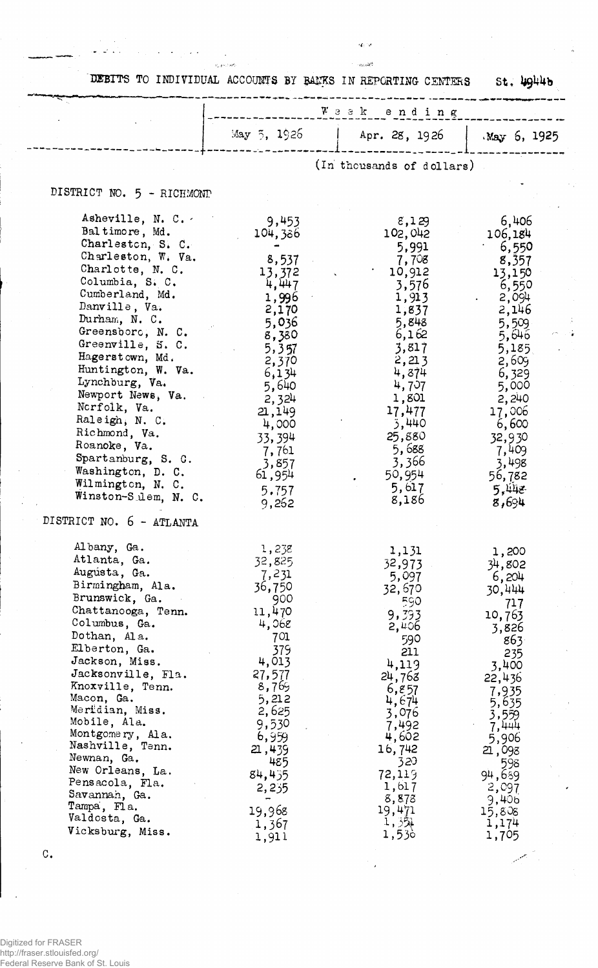DEBITS TO INDIVIDUAL ACCOUNTS BY BANKS IN REPORTING CENTERS St, LOLLO

 $\hat{u}_j$  ,  $j$  is the<br>set

 $\omega \sim 1$ 

 $\mathbf{q}_\mathrm{f}$  or

 $\gamma$  -  $_{\alpha\alpha\delta\delta}$ 

ć,

 $\begin{bmatrix} 1 \\ 1 \\ 1 \end{bmatrix}$ يستعير

|                                                                                                                                                                                                                                                                                                                                                                                                                                                                                            |                                                                                                                                                                                                            | Week ending                                                                                                                                                                                                       |                                                                                                                                                                                                                      |
|--------------------------------------------------------------------------------------------------------------------------------------------------------------------------------------------------------------------------------------------------------------------------------------------------------------------------------------------------------------------------------------------------------------------------------------------------------------------------------------------|------------------------------------------------------------------------------------------------------------------------------------------------------------------------------------------------------------|-------------------------------------------------------------------------------------------------------------------------------------------------------------------------------------------------------------------|----------------------------------------------------------------------------------------------------------------------------------------------------------------------------------------------------------------------|
|                                                                                                                                                                                                                                                                                                                                                                                                                                                                                            | May 5, 1926                                                                                                                                                                                                | Apr. 28, 1926                                                                                                                                                                                                     | $May$ 6, 1925                                                                                                                                                                                                        |
|                                                                                                                                                                                                                                                                                                                                                                                                                                                                                            |                                                                                                                                                                                                            | (In thousands of dollars)                                                                                                                                                                                         |                                                                                                                                                                                                                      |
| DISTRICT NO. 5 - RICHMOND                                                                                                                                                                                                                                                                                                                                                                                                                                                                  |                                                                                                                                                                                                            |                                                                                                                                                                                                                   |                                                                                                                                                                                                                      |
| Asheville, N. C.<br>Baltimore, Md.<br>Charleston, S. C.<br>Charleston, W. Va.<br>Charlotte, N. C.<br>Columbia, S. C.<br>Cumberland, Md.<br>Danville, Va.<br>Durham, N. C.<br>Greensboro, N. C.<br>Greenville, S. C.<br>Hagerstown, Md.<br>Huntington, W. Va.<br>Lynchburg, Va.<br>Newport News, Va.<br>Norfolk, Va.<br>Raleigh, N. C.<br>Richmond, Va.<br>Roanoke, Va.<br>Spartanburg, S. G.<br>Washington, D. C.<br>Wilmington, N. C.<br>Winston-Sulem, N. C.<br>DISTRICT NO. 6 - ATLANTA | 9,453<br>104,386<br>8,537<br>13,372<br>4,447<br>1,996<br>2,170<br>5,036<br>8,380<br>5,357<br>2,370<br>6,134<br>5,640<br>2,324<br>21,149<br>4,000<br>33,394<br>7,761<br>3,857<br>61,954<br>5.757<br>9,262   | 8,129<br>102,042<br>5,991<br>7,708<br>10,912<br>3,576<br>1,913<br>1,837<br>5,848<br>6,162<br>3,817<br>2,213<br>4,874<br>4,707<br>1,801<br>17,477<br>3,440<br>25,880<br>5,688<br>3,366<br>50,954<br>5,617<br>8,186 | 6,406<br>106,184<br>6,550<br>8,357<br>13,150<br>6,550<br>2,094<br>2,146<br>5,509<br>5,646<br>5,185<br>2,609<br>6,329<br>5,000<br>2,240<br>17,006<br>6,600<br>32,930<br>7,409<br>3,498<br>56,782<br>5,448<br>8,694    |
| Albany, Ga.<br>Atlanta, Ga.<br>Augusta, Ga.<br>Birmingham, Ala.<br>Brunswick, Ga.<br>Chattanooga, Tenn.<br>Columbus, Ga.<br>Dothan, Ala.<br>Elberton, Ga.<br>Jackson, Miss.<br>Jacksonville, Fla.<br>Knoxville, Tenn.<br>Macon, Ga.<br>Meridian, Miss.<br>Mobile, Ala.<br>Montgomery, Ala.<br>Nashville, Tenn.<br>Newnan, Ga.<br>New Orleans, La.<br>Pensacola, Fla.<br>Savannah, Ga.<br>Tampa, Fla.<br>Valdosta, Ga.<br>Vicksburg, Miss.                                                  | 1,238<br>32,825<br>7,231<br>36,750<br>900<br>11,470<br>4,068<br>701<br>379<br>4,013<br>27,577<br>8,769<br>5,212<br>2,625<br>9,530<br>6,959<br>21,439<br>485<br>84,435<br>2,235<br>19,968<br>1,367<br>1,911 | 1,131<br>32,973<br>5,097<br>32,670<br>590<br>9,393<br>2,406<br>590<br>211<br>4,119<br>24,763<br>6,857<br>4,674<br>3,076<br>7,492<br>4,602<br>16,742<br>320<br>72,119<br>1,617<br>8,873<br>19,471<br>1,35<br>1,530 | 1,200<br>34,802<br>6,204<br>30,444<br>717<br>10,763<br>3,826<br>863.<br>235<br>3,400<br>22,436<br>7,935<br>5,635<br>3,559<br>7,444<br>5,906<br>21,098<br>598<br>94,689<br>2,097<br>9,406<br>15,808<br>1,174<br>1,705 |

C.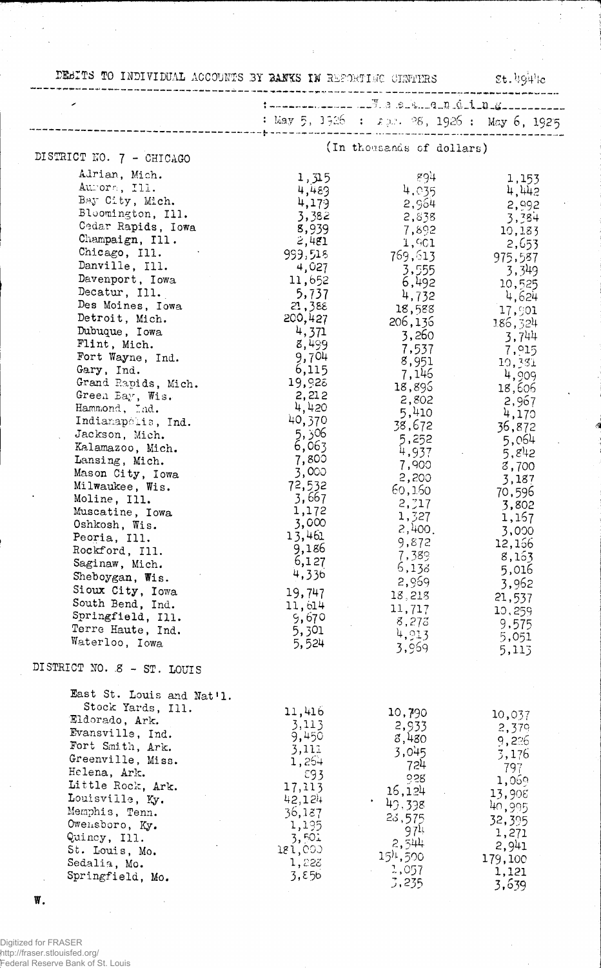| DEBITS TO INDIVIDUAL ACCOUNTS BY BANKS IN REPORTING CHNTHRS |                |                                             | $$t.494$ le      |
|-------------------------------------------------------------|----------------|---------------------------------------------|------------------|
|                                                             |                | t-------------- -- F.a.e. &  q n d i n g    |                  |
|                                                             |                | : May 5, 1926 : 2pr. 28, 1926 : May 6, 1925 |                  |
|                                                             |                | (In thousands of dollars)                   |                  |
| DISTRICT NO. 7 - CHICAGO                                    |                |                                             |                  |
| Adrian, Mich.                                               | 1,315          | -894                                        | 1,153            |
| Aurora, Ill.                                                | 4,483          | 4,035                                       | 4,442            |
| Bay City, Mich.                                             | 4,179          | 2,964                                       | 2,992            |
| Bloomington, Ill.                                           | 3,382          | 2,838                                       | 3,384            |
| Cedar Rapids, Iowa                                          | 8,939          | 7,892                                       | 10,183           |
| Champaign, Ill.                                             | 2,481          | 1,901                                       | 2,653            |
| Chicago, Ill.                                               | 999,518        | 769,613                                     | 975,587          |
| Danville, Ill.                                              | 4,027          | 3,555                                       | 3,349            |
| Davenport, Iowa                                             | 11,652         | 6,492                                       | 10,525           |
| Decatur, Ill.                                               | 5,737          | 4,732                                       | 4,624            |
| Des Moines, Iowa                                            | 21,388         | 18,588                                      | 17,901           |
| Detroit, Mich.                                              | 200,427        | 206,136                                     | 186,324          |
| Dubuque, Iowa                                               | 4,371          | 3,260                                       | 3,744            |
| Flint, Mich.                                                | 8,499          | 7,537                                       | 7,915            |
| Fort Wayne, Ind.                                            | 9,704          | 8,951                                       | 10,331           |
| Gary, Ind.                                                  | 6,115          | 7,146                                       | 4,909            |
| Grand Rapids, Mich.                                         | 19,928         | 18,895                                      | 18,606           |
| Green Bay, Wis.                                             | 2,212          | 2,802                                       | 2,967            |
| Hammond, Ind.                                               | 4,420          | 5,410                                       | 4,170            |
| Indianapolis, Ind.                                          | 40,370         | 38,672                                      | 36,872           |
| Jackson, Mich.                                              | 6ذ 5,          | 5,252                                       | 5,064            |
| Kalamazoo, Mich.                                            | 6,063          | 4,937                                       | 5, $g_{42}$      |
| Lansing, Mich.                                              | 7,800          | 7,900                                       | 3,700            |
| Mason City, Iowa                                            | 3,000          | 2,200                                       | 3,187            |
| Milwaukee, Wis.                                             | 72,532         | 60,160                                      | 70,596           |
| Moline, Ill.                                                | 3,667          | 2,317                                       | 3,802            |
| Muscatine, Iowa                                             | 1,172          | 1,327                                       | 1,167            |
| Oshkosh, Wis.                                               | 3,000          | 2,400.                                      | 3,000            |
| Peoria, Ill.                                                | 13,461         | 9,872                                       | 12,156           |
| Rockford, Ill.                                              | 9,186          | 7,389                                       | 8,163            |
| Saginaw, Mich.                                              | 6,127          | 5,138                                       | 5,016            |
| Sheboygan, Wis.                                             | 4,336          | 2,969                                       | 3,962            |
| Sioux City, Iowa                                            | 19,747         | 18,218                                      | 21,537           |
| South Bend, Ind.                                            | 11,614         | 11,717                                      | 10,259           |
| Springfield, Ill.                                           | 9,670          | 8,273                                       |                  |
| Terre Haute, Ind.                                           | 5,301          | 4,913                                       | 9,575            |
| Waterloo, Iowa                                              | 5,524          | 3,969                                       | 5,051<br>5,113   |
| DISTRICT NO. 8 - ST. LOUIS                                  |                |                                             |                  |
| East St. Louis and Nat'l.                                   |                |                                             |                  |
| Stock Yards, Ill.                                           | 11,416         | 10,790                                      | 10,037           |
| Eldorado, Ark.                                              | 3,113          | 2,933                                       | 2,379            |
| Evansville, Ind.                                            | 9,450          | 8,480                                       | 9,226            |
| Fort Smith, Ark.                                            | 3,111          | 3,045                                       | 3,176            |
| Greenville, Miss.                                           | 1,264          | 724                                         |                  |
| Helena, Ark.                                                | 593            | 0.28                                        | 797              |
| Little Rock, Ark.                                           | 17,113         | 16,124                                      | 1,069            |
| Louisville, Ky.                                             | 42,124         | 49,398                                      | 13,908           |
| Memphis, Tenn.                                              | 36,187         |                                             | 40,995           |
| Owensboro, Ky.                                              | 1,195          | 23,575                                      | 32,395           |
| Quincy, Ill.                                                | 3,501          | 97 <sup>1</sup>                             | 1,271            |
| St. Louis, Mo.                                              | 181,000        | 2,544<br>$15h$ , 500                        | 2,941            |
|                                                             |                |                                             |                  |
| Sedalia, Mo.<br>Springfield, Mo.                            | 1,223<br>3,850 | 1,057                                       | 179,100<br>1,121 |

 $\pmb{\mathbb{W}}$  .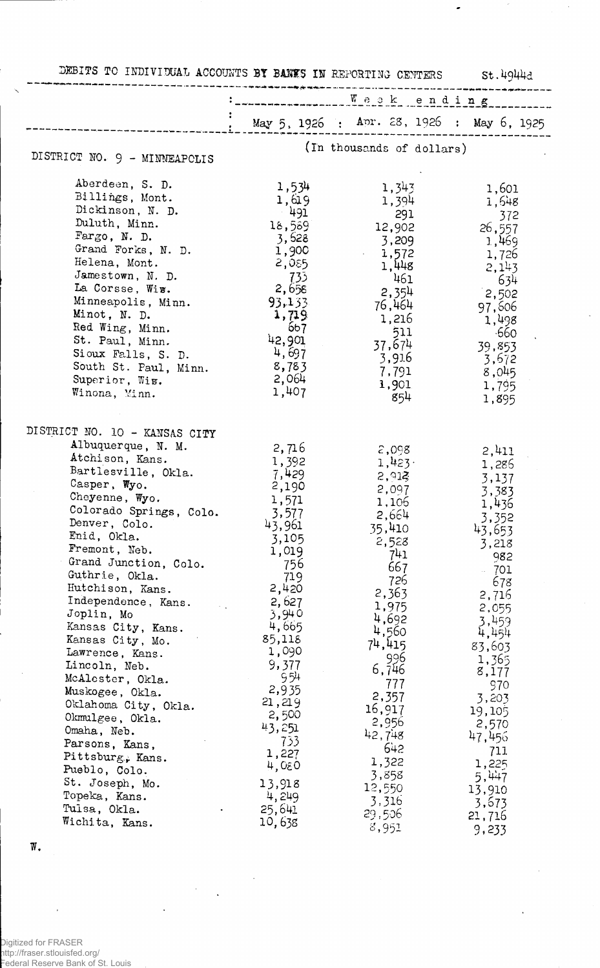| May 5, 1926 : Apr. 28, 1926 : May 6, 1925<br>(In thousands of dollars)<br>DISTRICT NO. 9 - MINNEAPOLIS<br>Aberdeen, S. D.<br>1,534<br>1,343<br>1,601<br>Billings, Mont.<br>1,619<br>1,394<br>1,648<br>Dickinson, N. D.<br>- 491<br>291<br>372<br>Duluth, Minn.<br>18,569<br>26, 557<br>12,902<br>Fargo, $N.$ D.<br>3,628<br>3,209<br>1,469<br>Grand Forks, N. D.<br>1,900<br>1,572<br>1,726<br>Helena, Mont.<br>2,055<br>1,448<br>2,143<br>Jamestown, N. D.<br>- 733<br>461<br>634<br>La Corsse, Wiw.<br>2,658<br>2,354<br>2,502<br>Minneapolis, Minn.<br>93,133<br>76,464<br>97,606<br>Minot, N. D.<br>1,719<br>1,216<br>1,498<br>Red Wing, Minn.<br>667<br>511<br>$-660$<br>42,901<br>St. Paul, Minn.<br>37,674<br>39,853<br>4,697<br>Sioux Falls, S. D.<br>3,916<br>3,672<br>8,783<br>South St. Paul, Minn.<br>7,791<br>8,045<br>2,064<br>Superior, Wis.<br>1,901<br>1,795<br>1,407<br>Winona, Minn.<br>854<br>1,895<br>DISTRICT NO. 10 - KANSAS CITY<br>Albuquerque, N. M.<br>2,716<br>2,098<br>2,411<br>Atchison, Kans.<br>1,392<br>1,423<br>1,286<br>Bartlesville, Okla.<br>7,429<br>2,913<br>3,137<br>Casper, Wyo.<br>2,190<br>2,097<br>3,383<br>Cheyenne, Wyo.<br>1,571<br>1,106<br>1,436<br>Colorado Springs, Colo.<br>3,577<br>2,664<br>3,352<br>Denver, Colo.<br>43,961<br>35,410<br>43,653<br>Enid, Okla.<br>3,105<br>2,528<br>3,218<br>Fremont, Neb.<br>1,019<br>741<br>982<br>Grand Junction, Colo.<br>756<br>667<br>701<br>Guthrie, Okla.<br>719<br>726<br>678<br>Hutchison, Kans.<br>2,420<br>2,363<br>2,716<br>Independence, Kans.<br>2,627<br>1,975<br>2,055<br>3,940<br>Joplin, Mo<br>4,692<br>3,459<br>4,665<br>Kansas City, Kans.<br>4,560<br>4,454<br>85,118<br>Kansas City, Mo.<br>74,415<br>83,603<br>1,090<br>Lawrence, Kans.<br>996<br>1,365<br>9,377<br>Lincoln, Neb.<br>6,746<br>8,177<br>954<br>McAlester, Okla.<br>777<br>970<br>2,935<br>Muskogee, Okla.<br>2,357<br>3,203<br>21,219<br>Oklahoma City, Okla.<br>16,917<br>19,105<br>2,500<br>Okmulgee, Okla.<br>2,956<br>2,570<br>43,251<br>Omaha, Neb.<br>42,748<br>47,456<br>733<br>Parsons, Kans,<br>642<br>711<br>1,227<br>Pittsburg, Kans.<br>1,322<br>1,225<br>4,080<br>Pueblo, Colo.<br>3,858<br>5,447<br>St. Joseph, Mo.<br>13,918<br>12,550<br>13,910<br>4,249<br>Topeka, Kans.<br>3,316<br>3,673<br>Tulsa, Okla.<br>25,641<br>29,506<br>21,716<br>Wichita, Kans.<br>10,638<br>8,951<br>9,233 | DEBITS TO INDIVIDUAL ACCOUNTS BY BANES IN REPORTING CENTERS St.4944d |  |  |
|---------------------------------------------------------------------------------------------------------------------------------------------------------------------------------------------------------------------------------------------------------------------------------------------------------------------------------------------------------------------------------------------------------------------------------------------------------------------------------------------------------------------------------------------------------------------------------------------------------------------------------------------------------------------------------------------------------------------------------------------------------------------------------------------------------------------------------------------------------------------------------------------------------------------------------------------------------------------------------------------------------------------------------------------------------------------------------------------------------------------------------------------------------------------------------------------------------------------------------------------------------------------------------------------------------------------------------------------------------------------------------------------------------------------------------------------------------------------------------------------------------------------------------------------------------------------------------------------------------------------------------------------------------------------------------------------------------------------------------------------------------------------------------------------------------------------------------------------------------------------------------------------------------------------------------------------------------------------------------------------------------------------------------------------------------------------------------------------------------------------------------------------------------------------------------------------------------------------------------------------------------------------------------------------------------------------------------------------------------------------------------------|----------------------------------------------------------------------|--|--|
|                                                                                                                                                                                                                                                                                                                                                                                                                                                                                                                                                                                                                                                                                                                                                                                                                                                                                                                                                                                                                                                                                                                                                                                                                                                                                                                                                                                                                                                                                                                                                                                                                                                                                                                                                                                                                                                                                                                                                                                                                                                                                                                                                                                                                                                                                                                                                                                       |                                                                      |  |  |
|                                                                                                                                                                                                                                                                                                                                                                                                                                                                                                                                                                                                                                                                                                                                                                                                                                                                                                                                                                                                                                                                                                                                                                                                                                                                                                                                                                                                                                                                                                                                                                                                                                                                                                                                                                                                                                                                                                                                                                                                                                                                                                                                                                                                                                                                                                                                                                                       |                                                                      |  |  |
|                                                                                                                                                                                                                                                                                                                                                                                                                                                                                                                                                                                                                                                                                                                                                                                                                                                                                                                                                                                                                                                                                                                                                                                                                                                                                                                                                                                                                                                                                                                                                                                                                                                                                                                                                                                                                                                                                                                                                                                                                                                                                                                                                                                                                                                                                                                                                                                       |                                                                      |  |  |
|                                                                                                                                                                                                                                                                                                                                                                                                                                                                                                                                                                                                                                                                                                                                                                                                                                                                                                                                                                                                                                                                                                                                                                                                                                                                                                                                                                                                                                                                                                                                                                                                                                                                                                                                                                                                                                                                                                                                                                                                                                                                                                                                                                                                                                                                                                                                                                                       |                                                                      |  |  |
|                                                                                                                                                                                                                                                                                                                                                                                                                                                                                                                                                                                                                                                                                                                                                                                                                                                                                                                                                                                                                                                                                                                                                                                                                                                                                                                                                                                                                                                                                                                                                                                                                                                                                                                                                                                                                                                                                                                                                                                                                                                                                                                                                                                                                                                                                                                                                                                       |                                                                      |  |  |
|                                                                                                                                                                                                                                                                                                                                                                                                                                                                                                                                                                                                                                                                                                                                                                                                                                                                                                                                                                                                                                                                                                                                                                                                                                                                                                                                                                                                                                                                                                                                                                                                                                                                                                                                                                                                                                                                                                                                                                                                                                                                                                                                                                                                                                                                                                                                                                                       |                                                                      |  |  |
|                                                                                                                                                                                                                                                                                                                                                                                                                                                                                                                                                                                                                                                                                                                                                                                                                                                                                                                                                                                                                                                                                                                                                                                                                                                                                                                                                                                                                                                                                                                                                                                                                                                                                                                                                                                                                                                                                                                                                                                                                                                                                                                                                                                                                                                                                                                                                                                       |                                                                      |  |  |
|                                                                                                                                                                                                                                                                                                                                                                                                                                                                                                                                                                                                                                                                                                                                                                                                                                                                                                                                                                                                                                                                                                                                                                                                                                                                                                                                                                                                                                                                                                                                                                                                                                                                                                                                                                                                                                                                                                                                                                                                                                                                                                                                                                                                                                                                                                                                                                                       |                                                                      |  |  |
|                                                                                                                                                                                                                                                                                                                                                                                                                                                                                                                                                                                                                                                                                                                                                                                                                                                                                                                                                                                                                                                                                                                                                                                                                                                                                                                                                                                                                                                                                                                                                                                                                                                                                                                                                                                                                                                                                                                                                                                                                                                                                                                                                                                                                                                                                                                                                                                       |                                                                      |  |  |
|                                                                                                                                                                                                                                                                                                                                                                                                                                                                                                                                                                                                                                                                                                                                                                                                                                                                                                                                                                                                                                                                                                                                                                                                                                                                                                                                                                                                                                                                                                                                                                                                                                                                                                                                                                                                                                                                                                                                                                                                                                                                                                                                                                                                                                                                                                                                                                                       |                                                                      |  |  |
|                                                                                                                                                                                                                                                                                                                                                                                                                                                                                                                                                                                                                                                                                                                                                                                                                                                                                                                                                                                                                                                                                                                                                                                                                                                                                                                                                                                                                                                                                                                                                                                                                                                                                                                                                                                                                                                                                                                                                                                                                                                                                                                                                                                                                                                                                                                                                                                       |                                                                      |  |  |
|                                                                                                                                                                                                                                                                                                                                                                                                                                                                                                                                                                                                                                                                                                                                                                                                                                                                                                                                                                                                                                                                                                                                                                                                                                                                                                                                                                                                                                                                                                                                                                                                                                                                                                                                                                                                                                                                                                                                                                                                                                                                                                                                                                                                                                                                                                                                                                                       |                                                                      |  |  |
|                                                                                                                                                                                                                                                                                                                                                                                                                                                                                                                                                                                                                                                                                                                                                                                                                                                                                                                                                                                                                                                                                                                                                                                                                                                                                                                                                                                                                                                                                                                                                                                                                                                                                                                                                                                                                                                                                                                                                                                                                                                                                                                                                                                                                                                                                                                                                                                       |                                                                      |  |  |
|                                                                                                                                                                                                                                                                                                                                                                                                                                                                                                                                                                                                                                                                                                                                                                                                                                                                                                                                                                                                                                                                                                                                                                                                                                                                                                                                                                                                                                                                                                                                                                                                                                                                                                                                                                                                                                                                                                                                                                                                                                                                                                                                                                                                                                                                                                                                                                                       |                                                                      |  |  |
|                                                                                                                                                                                                                                                                                                                                                                                                                                                                                                                                                                                                                                                                                                                                                                                                                                                                                                                                                                                                                                                                                                                                                                                                                                                                                                                                                                                                                                                                                                                                                                                                                                                                                                                                                                                                                                                                                                                                                                                                                                                                                                                                                                                                                                                                                                                                                                                       |                                                                      |  |  |
|                                                                                                                                                                                                                                                                                                                                                                                                                                                                                                                                                                                                                                                                                                                                                                                                                                                                                                                                                                                                                                                                                                                                                                                                                                                                                                                                                                                                                                                                                                                                                                                                                                                                                                                                                                                                                                                                                                                                                                                                                                                                                                                                                                                                                                                                                                                                                                                       |                                                                      |  |  |
|                                                                                                                                                                                                                                                                                                                                                                                                                                                                                                                                                                                                                                                                                                                                                                                                                                                                                                                                                                                                                                                                                                                                                                                                                                                                                                                                                                                                                                                                                                                                                                                                                                                                                                                                                                                                                                                                                                                                                                                                                                                                                                                                                                                                                                                                                                                                                                                       |                                                                      |  |  |
|                                                                                                                                                                                                                                                                                                                                                                                                                                                                                                                                                                                                                                                                                                                                                                                                                                                                                                                                                                                                                                                                                                                                                                                                                                                                                                                                                                                                                                                                                                                                                                                                                                                                                                                                                                                                                                                                                                                                                                                                                                                                                                                                                                                                                                                                                                                                                                                       |                                                                      |  |  |
|                                                                                                                                                                                                                                                                                                                                                                                                                                                                                                                                                                                                                                                                                                                                                                                                                                                                                                                                                                                                                                                                                                                                                                                                                                                                                                                                                                                                                                                                                                                                                                                                                                                                                                                                                                                                                                                                                                                                                                                                                                                                                                                                                                                                                                                                                                                                                                                       |                                                                      |  |  |
|                                                                                                                                                                                                                                                                                                                                                                                                                                                                                                                                                                                                                                                                                                                                                                                                                                                                                                                                                                                                                                                                                                                                                                                                                                                                                                                                                                                                                                                                                                                                                                                                                                                                                                                                                                                                                                                                                                                                                                                                                                                                                                                                                                                                                                                                                                                                                                                       |                                                                      |  |  |
|                                                                                                                                                                                                                                                                                                                                                                                                                                                                                                                                                                                                                                                                                                                                                                                                                                                                                                                                                                                                                                                                                                                                                                                                                                                                                                                                                                                                                                                                                                                                                                                                                                                                                                                                                                                                                                                                                                                                                                                                                                                                                                                                                                                                                                                                                                                                                                                       |                                                                      |  |  |
|                                                                                                                                                                                                                                                                                                                                                                                                                                                                                                                                                                                                                                                                                                                                                                                                                                                                                                                                                                                                                                                                                                                                                                                                                                                                                                                                                                                                                                                                                                                                                                                                                                                                                                                                                                                                                                                                                                                                                                                                                                                                                                                                                                                                                                                                                                                                                                                       |                                                                      |  |  |
|                                                                                                                                                                                                                                                                                                                                                                                                                                                                                                                                                                                                                                                                                                                                                                                                                                                                                                                                                                                                                                                                                                                                                                                                                                                                                                                                                                                                                                                                                                                                                                                                                                                                                                                                                                                                                                                                                                                                                                                                                                                                                                                                                                                                                                                                                                                                                                                       |                                                                      |  |  |
|                                                                                                                                                                                                                                                                                                                                                                                                                                                                                                                                                                                                                                                                                                                                                                                                                                                                                                                                                                                                                                                                                                                                                                                                                                                                                                                                                                                                                                                                                                                                                                                                                                                                                                                                                                                                                                                                                                                                                                                                                                                                                                                                                                                                                                                                                                                                                                                       |                                                                      |  |  |
|                                                                                                                                                                                                                                                                                                                                                                                                                                                                                                                                                                                                                                                                                                                                                                                                                                                                                                                                                                                                                                                                                                                                                                                                                                                                                                                                                                                                                                                                                                                                                                                                                                                                                                                                                                                                                                                                                                                                                                                                                                                                                                                                                                                                                                                                                                                                                                                       |                                                                      |  |  |
|                                                                                                                                                                                                                                                                                                                                                                                                                                                                                                                                                                                                                                                                                                                                                                                                                                                                                                                                                                                                                                                                                                                                                                                                                                                                                                                                                                                                                                                                                                                                                                                                                                                                                                                                                                                                                                                                                                                                                                                                                                                                                                                                                                                                                                                                                                                                                                                       |                                                                      |  |  |
|                                                                                                                                                                                                                                                                                                                                                                                                                                                                                                                                                                                                                                                                                                                                                                                                                                                                                                                                                                                                                                                                                                                                                                                                                                                                                                                                                                                                                                                                                                                                                                                                                                                                                                                                                                                                                                                                                                                                                                                                                                                                                                                                                                                                                                                                                                                                                                                       |                                                                      |  |  |
|                                                                                                                                                                                                                                                                                                                                                                                                                                                                                                                                                                                                                                                                                                                                                                                                                                                                                                                                                                                                                                                                                                                                                                                                                                                                                                                                                                                                                                                                                                                                                                                                                                                                                                                                                                                                                                                                                                                                                                                                                                                                                                                                                                                                                                                                                                                                                                                       |                                                                      |  |  |
|                                                                                                                                                                                                                                                                                                                                                                                                                                                                                                                                                                                                                                                                                                                                                                                                                                                                                                                                                                                                                                                                                                                                                                                                                                                                                                                                                                                                                                                                                                                                                                                                                                                                                                                                                                                                                                                                                                                                                                                                                                                                                                                                                                                                                                                                                                                                                                                       |                                                                      |  |  |
|                                                                                                                                                                                                                                                                                                                                                                                                                                                                                                                                                                                                                                                                                                                                                                                                                                                                                                                                                                                                                                                                                                                                                                                                                                                                                                                                                                                                                                                                                                                                                                                                                                                                                                                                                                                                                                                                                                                                                                                                                                                                                                                                                                                                                                                                                                                                                                                       |                                                                      |  |  |
|                                                                                                                                                                                                                                                                                                                                                                                                                                                                                                                                                                                                                                                                                                                                                                                                                                                                                                                                                                                                                                                                                                                                                                                                                                                                                                                                                                                                                                                                                                                                                                                                                                                                                                                                                                                                                                                                                                                                                                                                                                                                                                                                                                                                                                                                                                                                                                                       |                                                                      |  |  |
|                                                                                                                                                                                                                                                                                                                                                                                                                                                                                                                                                                                                                                                                                                                                                                                                                                                                                                                                                                                                                                                                                                                                                                                                                                                                                                                                                                                                                                                                                                                                                                                                                                                                                                                                                                                                                                                                                                                                                                                                                                                                                                                                                                                                                                                                                                                                                                                       |                                                                      |  |  |
|                                                                                                                                                                                                                                                                                                                                                                                                                                                                                                                                                                                                                                                                                                                                                                                                                                                                                                                                                                                                                                                                                                                                                                                                                                                                                                                                                                                                                                                                                                                                                                                                                                                                                                                                                                                                                                                                                                                                                                                                                                                                                                                                                                                                                                                                                                                                                                                       |                                                                      |  |  |
|                                                                                                                                                                                                                                                                                                                                                                                                                                                                                                                                                                                                                                                                                                                                                                                                                                                                                                                                                                                                                                                                                                                                                                                                                                                                                                                                                                                                                                                                                                                                                                                                                                                                                                                                                                                                                                                                                                                                                                                                                                                                                                                                                                                                                                                                                                                                                                                       |                                                                      |  |  |
|                                                                                                                                                                                                                                                                                                                                                                                                                                                                                                                                                                                                                                                                                                                                                                                                                                                                                                                                                                                                                                                                                                                                                                                                                                                                                                                                                                                                                                                                                                                                                                                                                                                                                                                                                                                                                                                                                                                                                                                                                                                                                                                                                                                                                                                                                                                                                                                       |                                                                      |  |  |
|                                                                                                                                                                                                                                                                                                                                                                                                                                                                                                                                                                                                                                                                                                                                                                                                                                                                                                                                                                                                                                                                                                                                                                                                                                                                                                                                                                                                                                                                                                                                                                                                                                                                                                                                                                                                                                                                                                                                                                                                                                                                                                                                                                                                                                                                                                                                                                                       |                                                                      |  |  |
|                                                                                                                                                                                                                                                                                                                                                                                                                                                                                                                                                                                                                                                                                                                                                                                                                                                                                                                                                                                                                                                                                                                                                                                                                                                                                                                                                                                                                                                                                                                                                                                                                                                                                                                                                                                                                                                                                                                                                                                                                                                                                                                                                                                                                                                                                                                                                                                       |                                                                      |  |  |
|                                                                                                                                                                                                                                                                                                                                                                                                                                                                                                                                                                                                                                                                                                                                                                                                                                                                                                                                                                                                                                                                                                                                                                                                                                                                                                                                                                                                                                                                                                                                                                                                                                                                                                                                                                                                                                                                                                                                                                                                                                                                                                                                                                                                                                                                                                                                                                                       |                                                                      |  |  |
|                                                                                                                                                                                                                                                                                                                                                                                                                                                                                                                                                                                                                                                                                                                                                                                                                                                                                                                                                                                                                                                                                                                                                                                                                                                                                                                                                                                                                                                                                                                                                                                                                                                                                                                                                                                                                                                                                                                                                                                                                                                                                                                                                                                                                                                                                                                                                                                       |                                                                      |  |  |
|                                                                                                                                                                                                                                                                                                                                                                                                                                                                                                                                                                                                                                                                                                                                                                                                                                                                                                                                                                                                                                                                                                                                                                                                                                                                                                                                                                                                                                                                                                                                                                                                                                                                                                                                                                                                                                                                                                                                                                                                                                                                                                                                                                                                                                                                                                                                                                                       |                                                                      |  |  |
|                                                                                                                                                                                                                                                                                                                                                                                                                                                                                                                                                                                                                                                                                                                                                                                                                                                                                                                                                                                                                                                                                                                                                                                                                                                                                                                                                                                                                                                                                                                                                                                                                                                                                                                                                                                                                                                                                                                                                                                                                                                                                                                                                                                                                                                                                                                                                                                       |                                                                      |  |  |
|                                                                                                                                                                                                                                                                                                                                                                                                                                                                                                                                                                                                                                                                                                                                                                                                                                                                                                                                                                                                                                                                                                                                                                                                                                                                                                                                                                                                                                                                                                                                                                                                                                                                                                                                                                                                                                                                                                                                                                                                                                                                                                                                                                                                                                                                                                                                                                                       |                                                                      |  |  |
|                                                                                                                                                                                                                                                                                                                                                                                                                                                                                                                                                                                                                                                                                                                                                                                                                                                                                                                                                                                                                                                                                                                                                                                                                                                                                                                                                                                                                                                                                                                                                                                                                                                                                                                                                                                                                                                                                                                                                                                                                                                                                                                                                                                                                                                                                                                                                                                       |                                                                      |  |  |
|                                                                                                                                                                                                                                                                                                                                                                                                                                                                                                                                                                                                                                                                                                                                                                                                                                                                                                                                                                                                                                                                                                                                                                                                                                                                                                                                                                                                                                                                                                                                                                                                                                                                                                                                                                                                                                                                                                                                                                                                                                                                                                                                                                                                                                                                                                                                                                                       |                                                                      |  |  |
|                                                                                                                                                                                                                                                                                                                                                                                                                                                                                                                                                                                                                                                                                                                                                                                                                                                                                                                                                                                                                                                                                                                                                                                                                                                                                                                                                                                                                                                                                                                                                                                                                                                                                                                                                                                                                                                                                                                                                                                                                                                                                                                                                                                                                                                                                                                                                                                       |                                                                      |  |  |
|                                                                                                                                                                                                                                                                                                                                                                                                                                                                                                                                                                                                                                                                                                                                                                                                                                                                                                                                                                                                                                                                                                                                                                                                                                                                                                                                                                                                                                                                                                                                                                                                                                                                                                                                                                                                                                                                                                                                                                                                                                                                                                                                                                                                                                                                                                                                                                                       |                                                                      |  |  |
|                                                                                                                                                                                                                                                                                                                                                                                                                                                                                                                                                                                                                                                                                                                                                                                                                                                                                                                                                                                                                                                                                                                                                                                                                                                                                                                                                                                                                                                                                                                                                                                                                                                                                                                                                                                                                                                                                                                                                                                                                                                                                                                                                                                                                                                                                                                                                                                       |                                                                      |  |  |
|                                                                                                                                                                                                                                                                                                                                                                                                                                                                                                                                                                                                                                                                                                                                                                                                                                                                                                                                                                                                                                                                                                                                                                                                                                                                                                                                                                                                                                                                                                                                                                                                                                                                                                                                                                                                                                                                                                                                                                                                                                                                                                                                                                                                                                                                                                                                                                                       |                                                                      |  |  |
|                                                                                                                                                                                                                                                                                                                                                                                                                                                                                                                                                                                                                                                                                                                                                                                                                                                                                                                                                                                                                                                                                                                                                                                                                                                                                                                                                                                                                                                                                                                                                                                                                                                                                                                                                                                                                                                                                                                                                                                                                                                                                                                                                                                                                                                                                                                                                                                       |                                                                      |  |  |

 $\bar{\bar{z}}$ 

 $\mathcal{A}^{\mathcal{A}}$ 

 $\ddot{\phantom{a}}$ 

 $\ddot{\phantom{0}}$ 

 $\hat{\phantom{a}}$ 

 $\boldsymbol{\mathrm{W}}$  .

l.

,<br>Digitized for FRASER<br>http://fraser.stlouisfed.org/<br>Federal Reserve Bank of St. Louis

 $\cdot$